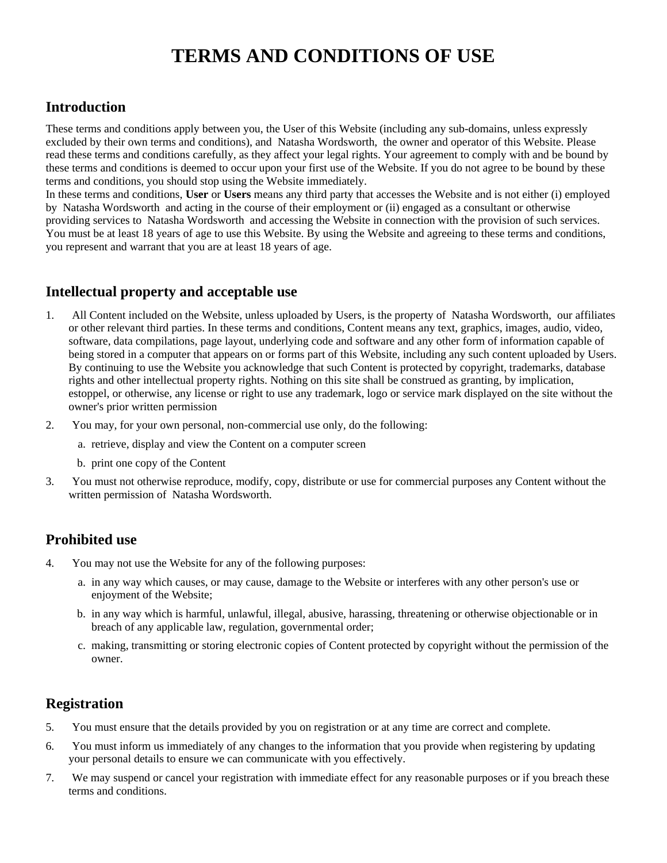# **TERMS AND CONDITIONS OF USE**

# **Introduction**

These terms and conditions apply between you, the User of this Website (including any sub-domains, unless expressly excluded by their own terms and conditions), and Natasha Wordsworth, the owner and operator of this Website. Please read these terms and conditions carefully, as they affect your legal rights. Your agreement to comply with and be bound by these terms and conditions is deemed to occur upon your first use of the Website. If you do not agree to be bound by these terms and conditions, you should stop using the Website immediately.

In these terms and conditions, **User** or **Users** means any third party that accesses the Website and is not either (i) employed by Natasha Wordsworth and acting in the course of their employment or (ii) engaged as a consultant or otherwise providing services to Natasha Wordsworth and accessing the Website in connection with the provision of such services. You must be at least 18 years of age to use this Website. By using the Website and agreeing to these terms and conditions, you represent and warrant that you are at least 18 years of age.

# **Intellectual property and acceptable use**

- 1. All Content included on the Website, unless uploaded by Users, is the property of Natasha Wordsworth, our affiliates or other relevant third parties. In these terms and conditions, Content means any text, graphics, images, audio, video, software, data compilations, page layout, underlying code and software and any other form of information capable of being stored in a computer that appears on or forms part of this Website, including any such content uploaded by Users. By continuing to use the Website you acknowledge that such Content is protected by copyright, trademarks, database rights and other intellectual property rights. Nothing on this site shall be construed as granting, by implication, estoppel, or otherwise, any license or right to use any trademark, logo or service mark displayed on the site without the owner's prior written permission
- 2. You may, for your own personal, non-commercial use only, do the following:
	- a. retrieve, display and view the Content on a computer screen
	- b. print one copy of the Content
- 3. You must not otherwise reproduce, modify, copy, distribute or use for commercial purposes any Content without the written permission of Natasha Wordsworth.

# **Prohibited use**

- 4. You may not use the Website for any of the following purposes:
	- a. in any way which causes, or may cause, damage to the Website or interferes with any other person's use or enjoyment of the Website;
	- b. in any way which is harmful, unlawful, illegal, abusive, harassing, threatening or otherwise objectionable or in breach of any applicable law, regulation, governmental order;
	- c. making, transmitting or storing electronic copies of Content protected by copyright without the permission of the owner.

# **Registration**

- 5. You must ensure that the details provided by you on registration or at any time are correct and complete.
- 6. You must inform us immediately of any changes to the information that you provide when registering by updating your personal details to ensure we can communicate with you effectively.
- 7. We may suspend or cancel your registration with immediate effect for any reasonable purposes or if you breach these terms and conditions.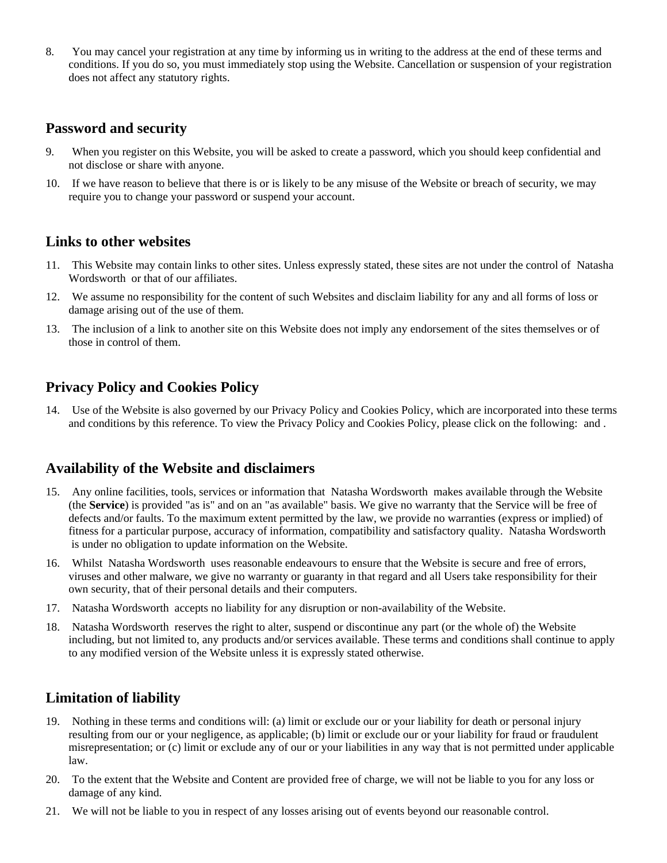8. You may cancel your registration at any time by informing us in writing to the address at the end of these terms and conditions. If you do so, you must immediately stop using the Website. Cancellation or suspension of your registration does not affect any statutory rights.

# **Password and security**

- 9. When you register on this Website, you will be asked to create a password, which you should keep confidential and not disclose or share with anyone.
- 10. If we have reason to believe that there is or is likely to be any misuse of the Website or breach of security, we may require you to change your password or suspend your account.

#### **Links to other websites**

- 11. This Website may contain links to other sites. Unless expressly stated, these sites are not under the control of Natasha Wordsworth or that of our affiliates.
- 12. We assume no responsibility for the content of such Websites and disclaim liability for any and all forms of loss or damage arising out of the use of them.
- 13. The inclusion of a link to another site on this Website does not imply any endorsement of the sites themselves or of those in control of them.

#### **Privacy Policy and Cookies Policy**

14. Use of the Website is also governed by our Privacy Policy and Cookies Policy, which are incorporated into these terms and conditions by this reference. To view the Privacy Policy and Cookies Policy, please click on the following: and .

#### **Availability of the Website and disclaimers**

- 15. Any online facilities, tools, services or information that Natasha Wordsworth makes available through the Website (the **Service**) is provided "as is" and on an "as available" basis. We give no warranty that the Service will be free of defects and/or faults. To the maximum extent permitted by the law, we provide no warranties (express or implied) of fitness for a particular purpose, accuracy of information, compatibility and satisfactory quality. Natasha Wordsworth is under no obligation to update information on the Website.
- 16. Whilst Natasha Wordsworth uses reasonable endeavours to ensure that the Website is secure and free of errors, viruses and other malware, we give no warranty or guaranty in that regard and all Users take responsibility for their own security, that of their personal details and their computers.
- 17. Natasha Wordsworth accepts no liability for any disruption or non-availability of the Website.
- 18. Natasha Wordsworth reserves the right to alter, suspend or discontinue any part (or the whole of) the Website including, but not limited to, any products and/or services available. These terms and conditions shall continue to apply to any modified version of the Website unless it is expressly stated otherwise.

# **Limitation of liability**

- 19. Nothing in these terms and conditions will: (a) limit or exclude our or your liability for death or personal injury resulting from our or your negligence, as applicable; (b) limit or exclude our or your liability for fraud or fraudulent misrepresentation; or (c) limit or exclude any of our or your liabilities in any way that is not permitted under applicable law.
- 20. To the extent that the Website and Content are provided free of charge, we will not be liable to you for any loss or damage of any kind.
- 21. We will not be liable to you in respect of any losses arising out of events beyond our reasonable control.